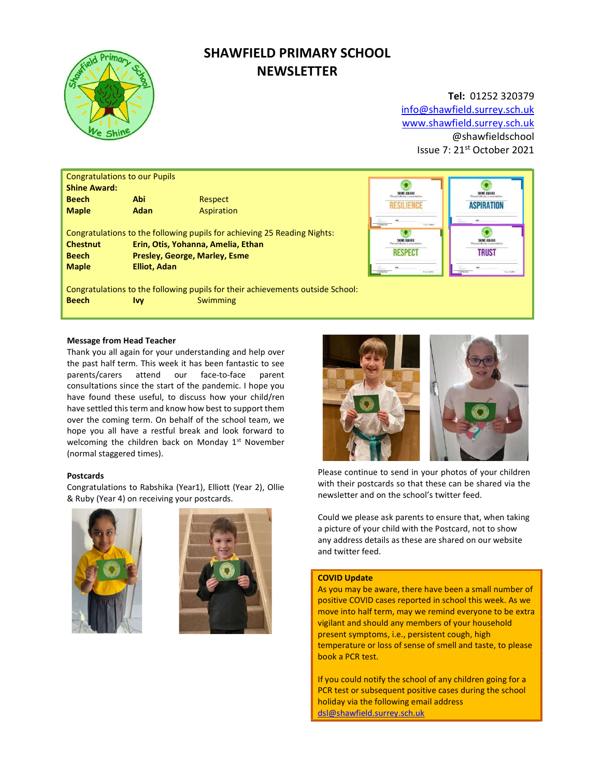

# SHAWFIELD PRIMARY SCHOOL **NEWSLETTER**

# Tel: 01252 320379

info@shawfield.surrey.sch.uk www.shawfield.surrey.sch.uk @shawfieldschool Issue 7: 21st October 2021

| <b>Congratulations to our Pupils</b>                                     |                                    |                                                                                |  |  |  |
|--------------------------------------------------------------------------|------------------------------------|--------------------------------------------------------------------------------|--|--|--|
| <b>Shine Award:</b>                                                      |                                    |                                                                                |  |  |  |
| <b>Beech</b>                                                             | Abi                                | Respect                                                                        |  |  |  |
| <b>Maple</b>                                                             | Adan                               | Aspiration                                                                     |  |  |  |
|                                                                          |                                    |                                                                                |  |  |  |
| Congratulations to the following pupils for achieving 25 Reading Nights: |                                    |                                                                                |  |  |  |
| <b>Chestnut</b>                                                          | Erin, Otis, Yohanna, Amelia, Ethan |                                                                                |  |  |  |
| <b>Beech</b>                                                             | Presley, George, Marley, Esme      |                                                                                |  |  |  |
| <b>Maple</b>                                                             | <b>Elliot, Adan</b>                |                                                                                |  |  |  |
|                                                                          |                                    | Congratulations to the following pupils for their achievements outside School: |  |  |  |
|                                                                          |                                    |                                                                                |  |  |  |
| <b>Beech</b>                                                             | Ivv                                | Swimming                                                                       |  |  |  |



# Message from Head Teacher

Thank you all again for your understanding and help over the past half term. This week it has been fantastic to see parents/carers attend our face-to-face parent consultations since the start of the pandemic. I hope you have found these useful, to discuss how your child/ren have settled this term and know how best to support them over the coming term. On behalf of the school team, we hope you all have a restful break and look forward to welcoming the children back on Monday  $1<sup>st</sup>$  November (normal staggered times).

# Postcards

Congratulations to Rabshika (Year1), Elliott (Year 2), Ollie & Ruby (Year 4) on receiving your postcards.







Please continue to send in your photos of your children with their postcards so that these can be shared via the newsletter and on the school's twitter feed.

Could we please ask parents to ensure that, when taking a picture of your child with the Postcard, not to show any address details as these are shared on our website and twitter feed.

#### COVID Update

As you may be aware, there have been a small number of positive COVID cases reported in school this week. As we move into half term, may we remind everyone to be extra vigilant and should any members of your household present symptoms, i.e., persistent cough, high temperature or loss of sense of smell and taste, to please book a PCR test.

If you could notify the school of any children going for a PCR test or subsequent positive cases during the school holiday via the following email address dsl@shawfield.surrey.sch.uk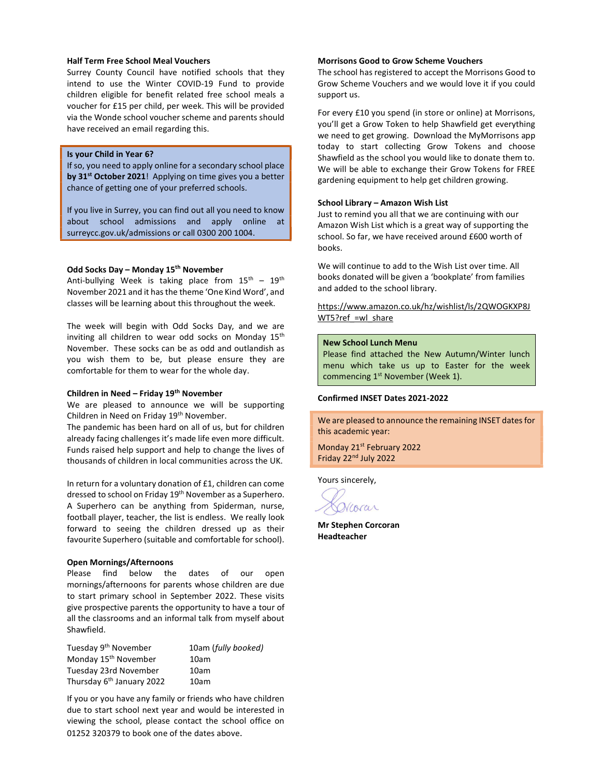#### Half Term Free School Meal Vouchers

Surrey County Council have notified schools that they intend to use the Winter COVID-19 Fund to provide children eligible for benefit related free school meals a voucher for £15 per child, per week. This will be provided via the Wonde school voucher scheme and parents should have received an email regarding this.

# Is your Child in Year 6?

If so, you need to apply online for a secondary school place by 31<sup>st</sup> October 2021! Applying on time gives you a better chance of getting one of your preferred schools.

If you live in Surrey, you can find out all you need to know about school admissions and apply online at surreycc.gov.uk/admissions or call 0300 200 1004.

#### Odd Socks Day – Monday 15<sup>th</sup> November

Anti-bullying Week is taking place from  $15^{th}$  -  $19^{th}$ November 2021 and it has the theme 'One Kind Word', and classes will be learning about this throughout the week.

The week will begin with Odd Socks Day, and we are inviting all children to wear odd socks on Monday 15<sup>th</sup> November. These socks can be as odd and outlandish as you wish them to be, but please ensure they are comfortable for them to wear for the whole day.

# Children in Need – Friday 19th November

We are pleased to announce we will be supporting Children in Need on Friday 19<sup>th</sup> November.

The pandemic has been hard on all of us, but for children already facing challenges it's made life even more difficult. Funds raised help support and help to change the lives of thousands of children in local communities across the UK.

In return for a voluntary donation of £1, children can come dressed to school on Friday 19th November as a Superhero. A Superhero can be anything from Spiderman, nurse, football player, teacher, the list is endless. We really look forward to seeing the children dressed up as their favourite Superhero (suitable and comfortable for school).

# Open Mornings/Afternoons

Please find below the dates of our open mornings/afternoons for parents whose children are due to start primary school in September 2022. These visits give prospective parents the opportunity to have a tour of all the classrooms and an informal talk from myself about Shawfield.

| Tuesday 9 <sup>th</sup> November      | 10am (fully booked) |
|---------------------------------------|---------------------|
| Monday 15 <sup>th</sup> November      | 10am                |
| Tuesday 23rd November                 | 10am                |
| Thursday 6 <sup>th</sup> January 2022 | 10am                |

If you or you have any family or friends who have children due to start school next year and would be interested in viewing the school, please contact the school office on 01252 320379 to book one of the dates above.

# Morrisons Good to Grow Scheme Vouchers

The school has registered to accept the Morrisons Good to Grow Scheme Vouchers and we would love it if you could support us.

For every £10 you spend (in store or online) at Morrisons, you'll get a Grow Token to help Shawfield get everything we need to get growing. Download the MyMorrisons app today to start collecting Grow Tokens and choose Shawfield as the school you would like to donate them to. We will be able to exchange their Grow Tokens for FREE gardening equipment to help get children growing.

#### School Library – Amazon Wish List

Just to remind you all that we are continuing with our Amazon Wish List which is a great way of supporting the school. So far, we have received around £600 worth of books.

We will continue to add to the Wish List over time. All books donated will be given a 'bookplate' from families and added to the school library.

https://www.amazon.co.uk/hz/wishlist/ls/2QWOGKXP8J WT5?ref =wl\_share

#### New School Lunch Menu

Please find attached the New Autumn/Winter lunch menu which take us up to Easter for the week commencing 1<sup>st</sup> November (Week 1).

#### Confirmed INSET Dates 2021-2022

We are pleased to announce the remaining INSET dates for this academic year:

Monday 21<sup>st</sup> February 2022 Friday 22nd July 2022

Yours sincerely,

Narar

Mr Stephen Corcoran Headteacher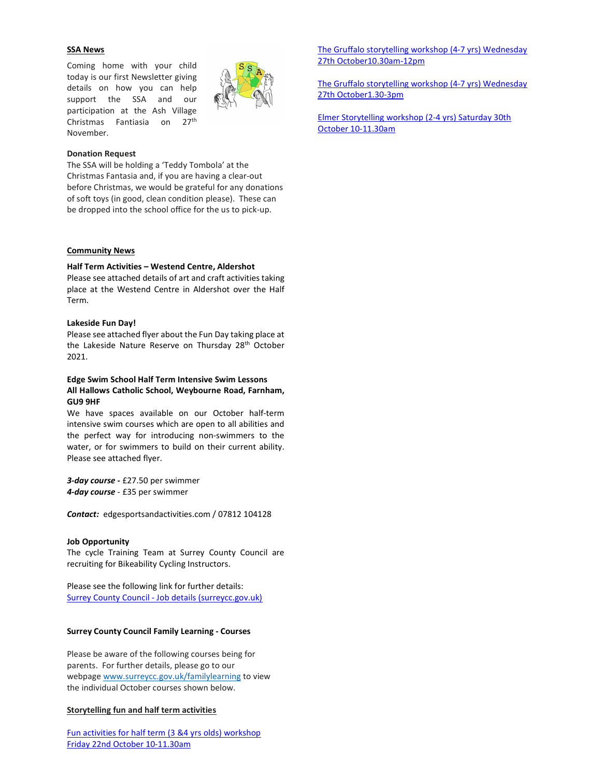# SSA News

Coming home with your child today is our first Newsletter giving details on how you can help support the SSA and our participation at the Ash Village Christmas Fantiasia on 27<sup>th</sup> November.



#### Donation Request

The SSA will be holding a 'Teddy Tombola' at the Christmas Fantasia and, if you are having a clear-out before Christmas, we would be grateful for any donations of soft toys (in good, clean condition please). These can be dropped into the school office for the us to pick-up.

#### Community News

## Half Term Activities – Westend Centre, Aldershot

Please see attached details of art and craft activities taking place at the Westend Centre in Aldershot over the Half Term.

# Lakeside Fun Day!

Please see attached flyer about the Fun Day taking place at the Lakeside Nature Reserve on Thursday 28<sup>th</sup> October 2021.

# Edge Swim School Half Term Intensive Swim Lessons All Hallows Catholic School, Weybourne Road, Farnham, GU9 9HF

We have spaces available on our October half-term intensive swim courses which are open to all abilities and the perfect way for introducing non-swimmers to the water, or for swimmers to build on their current ability. Please see attached flyer.

3-day course - £27.50 per swimmer 4-day course - £35 per swimmer

Contact: edgesportsandactivities.com / 07812 104128

#### Job Opportunity

The cycle Training Team at Surrey County Council are recruiting for Bikeability Cycling Instructors.

Please see the following link for further details: Surrey County Council - Job details (surreycc.gov.uk)

#### Surrey County Council Family Learning - Courses

Please be aware of the following courses being for parents. For further details, please go to our webpage www.surreycc.gov.uk/familylearning to view the individual October courses shown below.

#### Storytelling fun and half term activities

Fun activities for half term (3 &4 yrs olds) workshop Friday 22nd October 10-11.30am

The Gruffalo storytelling workshop (4-7 yrs) Wednesday 27th October10.30am-12pm

The Gruffalo storytelling workshop (4-7 yrs) Wednesday 27th October1.30-3pm

Elmer Storytelling workshop (2-4 yrs) Saturday 30th October 10-11.30am